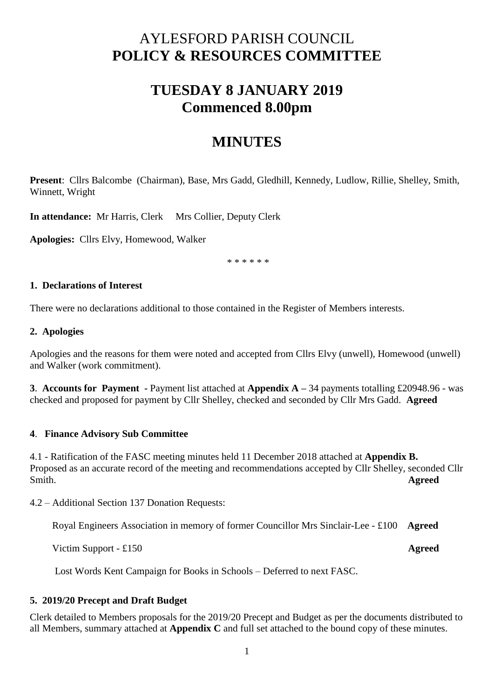# AYLESFORD PARISH COUNCIL **POLICY & RESOURCES COMMITTEE**

# **TUESDAY 8 JANUARY 2019 Commenced 8.00pm**

# **MINUTES**

**Present**: Cllrs Balcombe (Chairman), Base, Mrs Gadd, Gledhill, Kennedy, Ludlow, Rillie, Shelley, Smith, Winnett, Wright

**In attendance:** Mr Harris, Clerk Mrs Collier, Deputy Clerk

**Apologies:** Cllrs Elvy, Homewood, Walker

\* \* \* \* \* \*

### **1. Declarations of Interest**

There were no declarations additional to those contained in the Register of Members interests.

### **2. Apologies**

Apologies and the reasons for them were noted and accepted from Cllrs Elvy (unwell), Homewood (unwell) and Walker (work commitment).

**3**. **Accounts for Payment -** Payment list attached at **Appendix A –** 34 payments totalling £20948.96 - was checked and proposed for payment by Cllr Shelley, checked and seconded by Cllr Mrs Gadd. **Agreed**

## **4**. **Finance Advisory Sub Committee**

4.1 - Ratification of the FASC meeting minutes held 11 December 2018 attached at **Appendix B.**  Proposed as an accurate record of the meeting and recommendations accepted by Cllr Shelley, seconded Cllr Smith. **Agreed**

4.2 – Additional Section 137 Donation Requests:

Royal Engineers Association in memory of former Councillor Mrs Sinclair-Lee - £100 **Agreed**

Victim Support - £150 **Agreed**

Lost Words Kent Campaign for Books in Schools – Deferred to next FASC.

## **5. 2019/20 Precept and Draft Budget**

Clerk detailed to Members proposals for the 2019/20 Precept and Budget as per the documents distributed to all Members, summary attached at **Appendix C** and full set attached to the bound copy of these minutes.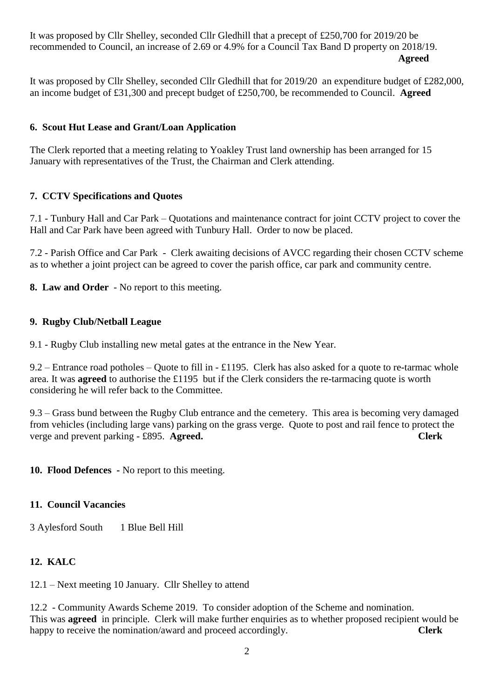It was proposed by Cllr Shelley, seconded Cllr Gledhill that a precept of £250,700 for 2019/20 be recommended to Council, an increase of 2.69 or 4.9% for a Council Tax Band D property on 2018/19. **Agreed**

It was proposed by Cllr Shelley, seconded Cllr Gledhill that for 2019/20 an expenditure budget of £282,000, an income budget of £31,300 and precept budget of £250,700, be recommended to Council. **Agreed**

# **6. Scout Hut Lease and Grant/Loan Application**

The Clerk reported that a meeting relating to Yoakley Trust land ownership has been arranged for 15 January with representatives of the Trust, the Chairman and Clerk attending.

# **7. CCTV Specifications and Quotes**

7.1 - Tunbury Hall and Car Park – Quotations and maintenance contract for joint CCTV project to cover the Hall and Car Park have been agreed with Tunbury Hall. Order to now be placed.

7.2 - Parish Office and Car Park - Clerk awaiting decisions of AVCC regarding their chosen CCTV scheme as to whether a joint project can be agreed to cover the parish office, car park and community centre.

**8. Law and Order** - No report to this meeting.

## **9. Rugby Club/Netball League**

9.1 - Rugby Club installing new metal gates at the entrance in the New Year.

9.2 – Entrance road potholes – Quote to fill in - £1195. Clerk has also asked for a quote to re-tarmac whole area. It was **agreed** to authorise the £1195 but if the Clerk considers the re-tarmacing quote is worth considering he will refer back to the Committee.

9.3 – Grass bund between the Rugby Club entrance and the cemetery. This area is becoming very damaged from vehicles (including large vans) parking on the grass verge. Quote to post and rail fence to protect the verge and prevent parking - £895. **Agreed. Clerk**

**10. Flood Defences -** No report to this meeting.

## **11. Council Vacancies**

3 Aylesford South 1 Blue Bell Hill

## **12. KALC**

12.1 – Next meeting 10 January. Cllr Shelley to attend

12.2 - Community Awards Scheme 2019. To consider adoption of the Scheme and nomination. This was **agreed** in principle. Clerk will make further enquiries as to whether proposed recipient would be happy to receive the nomination/award and proceed accordingly. **Clerk**